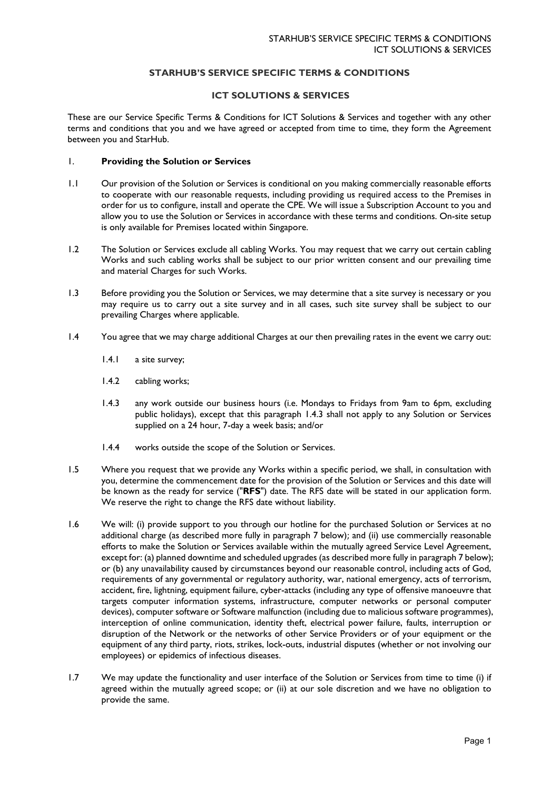# **STARHUB'S SERVICE SPECIFIC TERMS & CONDITIONS**

# **ICT SOLUTIONS & SERVICES**

These are our Service Specific Terms & Conditions for ICT Solutions & Services and together with any other terms and conditions that you and we have agreed or accepted from time to time, they form the Agreement between you and StarHub.

### 1. **Providing the Solution or Services**

- 1.1 Our provision of the Solution or Services is conditional on you making commercially reasonable efforts to cooperate with our reasonable requests, including providing us required access to the Premises in order for us to configure, install and operate the CPE. We will issue a Subscription Account to you and allow you to use the Solution or Services in accordance with these terms and conditions. On-site setup is only available for Premises located within Singapore.
- 1.2 The Solution or Services exclude all cabling Works. You may request that we carry out certain cabling Works and such cabling works shall be subject to our prior written consent and our prevailing time and material Charges for such Works.
- 1.3 Before providing you the Solution or Services, we may determine that a site survey is necessary or you may require us to carry out a site survey and in all cases, such site survey shall be subject to our prevailing Charges where applicable.
- 1.4 You agree that we may charge additional Charges at our then prevailing rates in the event we carry out:
	- 1.4.1 a site survey;
	- 1.4.2 cabling works;
	- 1.4.3 any work outside our business hours (i.e. Mondays to Fridays from 9am to 6pm, excluding public holidays), except that this paragraph 1.4.3 shall not apply to any Solution or Services supplied on a 24 hour, 7-day a week basis; and/or
	- 1.4.4 works outside the scope of the Solution or Services.
- 1.5 Where you request that we provide any Works within a specific period, we shall, in consultation with you, determine the commencement date for the provision of the Solution or Services and this date will be known as the ready for service ("**RFS**") date. The RFS date will be stated in our application form. We reserve the right to change the RFS date without liability.
- 1.6 We will: (i) provide support to you through our hotline for the purchased Solution or Services at no additional charge (as described more fully in paragraph 7 below); and (ii) use commercially reasonable efforts to make the Solution or Services available within the mutually agreed Service Level Agreement, except for: (a) planned downtime and scheduled upgrades (as described more fully in paragraph 7 below); or (b) any unavailability caused by circumstances beyond our reasonable control, including acts of God, requirements of any governmental or regulatory authority, war, national emergency, acts of terrorism, accident, fire, lightning, equipment failure, cyber-attacks (including any type of offensive manoeuvre that targets computer information systems, infrastructure, computer networks or personal computer devices), computer software or Software malfunction (including due to malicious software programmes), interception of online communication, identity theft, electrical power failure, faults, interruption or disruption of the Network or the networks of other Service Providers or of your equipment or the equipment of any third party, riots, strikes, lock-outs, industrial disputes (whether or not involving our employees) or epidemics of infectious diseases.
- 1.7 We may update the functionality and user interface of the Solution or Services from time to time (i) if agreed within the mutually agreed scope; or (ii) at our sole discretion and we have no obligation to provide the same.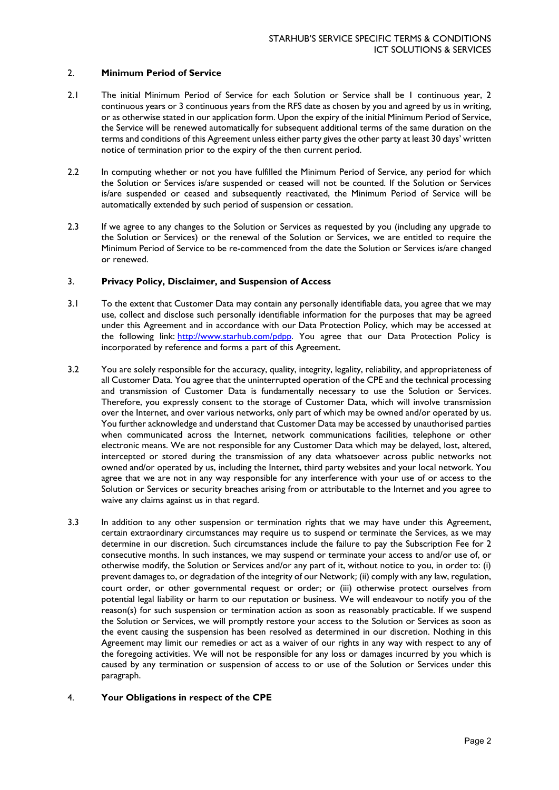## 2. **Minimum Period of Service**

- 2.1 The initial Minimum Period of Service for each Solution or Service shall be 1 continuous year, 2 continuous years or 3 continuous years from the RFS date as chosen by you and agreed by us in writing, or as otherwise stated in our application form. Upon the expiry of the initial Minimum Period of Service, the Service will be renewed automatically for subsequent additional terms of the same duration on the terms and conditions of this Agreement unless either party gives the other party at least 30 days' written notice of termination prior to the expiry of the then current period.
- 2.2 In computing whether or not you have fulfilled the Minimum Period of Service, any period for which the Solution or Services is/are suspended or ceased will not be counted. If the Solution or Services is/are suspended or ceased and subsequently reactivated, the Minimum Period of Service will be automatically extended by such period of suspension or cessation.
- 2.3 If we agree to any changes to the Solution or Services as requested by you (including any upgrade to the Solution or Services) or the renewal of the Solution or Services, we are entitled to require the Minimum Period of Service to be re-commenced from the date the Solution or Services is/are changed or renewed.

## 3. **Privacy Policy, Disclaimer, and Suspension of Access**

- 3.1 To the extent that Customer Data may contain any personally identifiable data, you agree that we may use, collect and disclose such personally identifiable information for the purposes that may be agreed under this Agreement and in accordance with our [Data Protection Policy,](https://www.starhub.com/content/dam/starhub/legal-notices-and-terms/consumer/personal-data-protection-policy.pdf) which may be accessed at the following link: [http://www.starhub.com/pdpp.](http://www.starhub.com/pdpp) You agree that our Data Protection Policy is incorporated by reference and forms a part of this Agreement.
- 3.2 You are solely responsible for the accuracy, quality, integrity, legality, reliability, and appropriateness of all Customer Data. You agree that the uninterrupted operation of the CPE and the technical processing and transmission of Customer Data is fundamentally necessary to use the Solution or Services. Therefore, you expressly consent to the storage of Customer Data, which will involve transmission over the Internet, and over various networks, only part of which may be owned and/or operated by us. You further acknowledge and understand that Customer Data may be accessed by unauthorised parties when communicated across the Internet, network communications facilities, telephone or other electronic means. We are not responsible for any Customer Data which may be delayed, lost, altered, intercepted or stored during the transmission of any data whatsoever across public networks not owned and/or operated by us, including the Internet, third party websites and your local network. You agree that we are not in any way responsible for any interference with your use of or access to the Solution or Services or security breaches arising from or attributable to the Internet and you agree to waive any claims against us in that regard.
- 3.3 In addition to any other suspension or termination rights that we may have under this Agreement, certain extraordinary circumstances may require us to suspend or terminate the Services, as we may determine in our discretion. Such circumstances include the failure to pay the Subscription Fee for 2 consecutive months. In such instances, we may suspend or terminate your access to and/or use of, or otherwise modify, the Solution or Services and/or any part of it, without notice to you, in order to: (i) prevent damages to, or degradation of the integrity of our Network; (ii) comply with any law, regulation, court order, or other governmental request or order; or (iii) otherwise protect ourselves from potential legal liability or harm to our reputation or business. We will endeavour to notify you of the reason(s) for such suspension or termination action as soon as reasonably practicable. If we suspend the Solution or Services, we will promptly restore your access to the Solution or Services as soon as the event causing the suspension has been resolved as determined in our discretion. Nothing in this Agreement may limit our remedies or act as a waiver of our rights in any way with respect to any of the foregoing activities. We will not be responsible for any loss or damages incurred by you which is caused by any termination or suspension of access to or use of the Solution or Services under this paragraph.

# 4. **Your Obligations in respect of the CPE**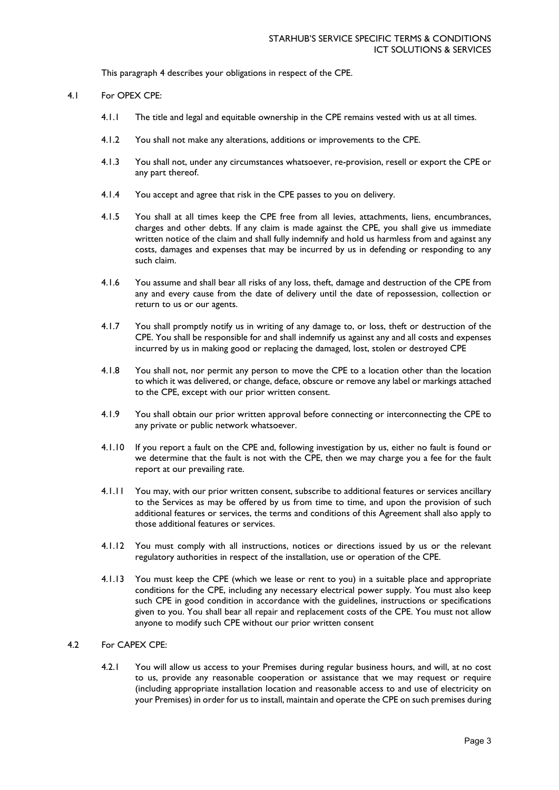This paragraph 4 describes your obligations in respect of the CPE.

#### 4.1 For OPEX CPE:

- 4.1.1 The title and legal and equitable ownership in the CPE remains vested with us at all times.
- 4.1.2 You shall not make any alterations, additions or improvements to the CPE.
- 4.1.3 You shall not, under any circumstances whatsoever, re-provision, resell or export the CPE or any part thereof.
- 4.1.4 You accept and agree that risk in the CPE passes to you on delivery.
- 4.1.5 You shall at all times keep the CPE free from all levies, attachments, liens, encumbrances, charges and other debts. If any claim is made against the CPE, you shall give us immediate written notice of the claim and shall fully indemnify and hold us harmless from and against any costs, damages and expenses that may be incurred by us in defending or responding to any such claim.
- 4.1.6 You assume and shall bear all risks of any loss, theft, damage and destruction of the CPE from any and every cause from the date of delivery until the date of repossession, collection or return to us or our agents.
- 4.1.7 You shall promptly notify us in writing of any damage to, or loss, theft or destruction of the CPE. You shall be responsible for and shall indemnify us against any and all costs and expenses incurred by us in making good or replacing the damaged, lost, stolen or destroyed CPE
- 4.1.8 You shall not, nor permit any person to move the CPE to a location other than the location to which it was delivered, or change, deface, obscure or remove any label or markings attached to the CPE, except with our prior written consent.
- 4.1.9 You shall obtain our prior written approval before connecting or interconnecting the CPE to any private or public network whatsoever.
- 4.1.10 If you report a fault on the CPE and, following investigation by us, either no fault is found or we determine that the fault is not with the CPE, then we may charge you a fee for the fault report at our prevailing rate.
- 4.1.11 You may, with our prior written consent, subscribe to additional features or services ancillary to the Services as may be offered by us from time to time, and upon the provision of such additional features or services, the terms and conditions of this Agreement shall also apply to those additional features or services.
- 4.1.12 You must comply with all instructions, notices or directions issued by us or the relevant regulatory authorities in respect of the installation, use or operation of the CPE.
- 4.1.13 You must keep the CPE (which we lease or rent to you) in a suitable place and appropriate conditions for the CPE, including any necessary electrical power supply. You must also keep such CPE in good condition in accordance with the guidelines, instructions or specifications given to you. You shall bear all repair and replacement costs of the CPE. You must not allow anyone to modify such CPE without our prior written consent

# 4.2 For CAPEX CPE:

4.2.1 You will allow us access to your Premises during regular business hours, and will, at no cost to us, provide any reasonable cooperation or assistance that we may request or require (including appropriate installation location and reasonable access to and use of electricity on your Premises) in order for us to install, maintain and operate the CPE on such premises during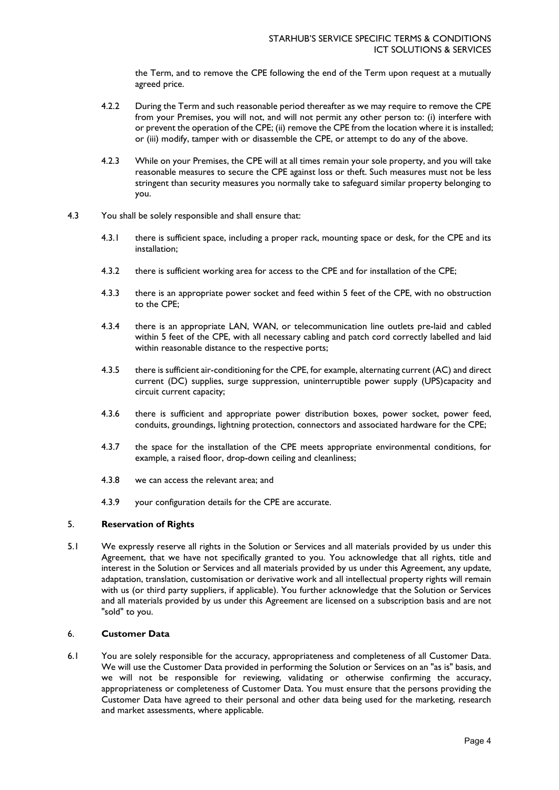the Term, and to remove the CPE following the end of the Term upon request at a mutually agreed price.

- 4.2.2 During the Term and such reasonable period thereafter as we may require to remove the CPE from your Premises, you will not, and will not permit any other person to: (i) interfere with or prevent the operation of the CPE; (ii) remove the CPE from the location where it is installed; or (iii) modify, tamper with or disassemble the CPE, or attempt to do any of the above.
- 4.2.3 While on your Premises, the CPE will at all times remain your sole property, and you will take reasonable measures to secure the CPE against loss or theft. Such measures must not be less stringent than security measures you normally take to safeguard similar property belonging to you.
- 4.3 You shall be solely responsible and shall ensure that:
	- 4.3.1 there is sufficient space, including a proper rack, mounting space or desk, for the CPE and its installation;
	- 4.3.2 there is sufficient working area for access to the CPE and for installation of the CPE;
	- 4.3.3 there is an appropriate power socket and feed within 5 feet of the CPE, with no obstruction to the CPE;
	- 4.3.4 there is an appropriate LAN, WAN, or telecommunication line outlets pre-laid and cabled within 5 feet of the CPE, with all necessary cabling and patch cord correctly labelled and laid within reasonable distance to the respective ports;
	- 4.3.5 there is sufficient air-conditioning for the CPE, for example, alternating current (AC) and direct current (DC) supplies, surge suppression, uninterruptible power supply (UPS)capacity and circuit current capacity;
	- 4.3.6 there is sufficient and appropriate power distribution boxes, power socket, power feed, conduits, groundings, lightning protection, connectors and associated hardware for the CPE;
	- 4.3.7 the space for the installation of the CPE meets appropriate environmental conditions, for example, a raised floor, drop-down ceiling and cleanliness;
	- 4.3.8 we can access the relevant area; and
	- 4.3.9 your configuration details for the CPE are accurate.

# 5. **Reservation of Rights**

5.1 We expressly reserve all rights in the Solution or Services and all materials provided by us under this Agreement, that we have not specifically granted to you. You acknowledge that all rights, title and interest in the Solution or Services and all materials provided by us under this Agreement, any update, adaptation, translation, customisation or derivative work and all intellectual property rights will remain with us (or third party suppliers, if applicable). You further acknowledge that the Solution or Services and all materials provided by us under this Agreement are licensed on a subscription basis and are not "sold" to you.

# 6. **Customer Data**

6.1 You are solely responsible for the accuracy, appropriateness and completeness of all Customer Data. We will use the Customer Data provided in performing the Solution or Services on an "as is" basis, and we will not be responsible for reviewing, validating or otherwise confirming the accuracy, appropriateness or completeness of Customer Data. You must ensure that the persons providing the Customer Data have agreed to their personal and other data being used for the marketing, research and market assessments, where applicable.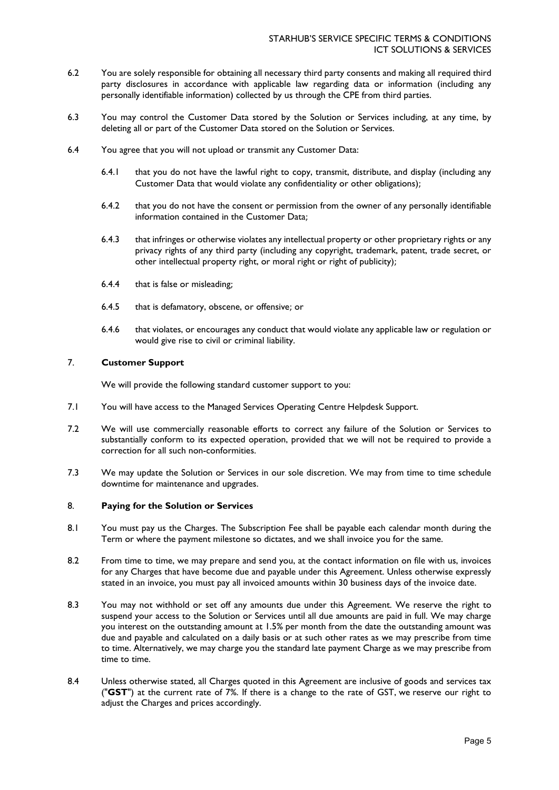- 6.2 You are solely responsible for obtaining all necessary third party consents and making all required third party disclosures in accordance with applicable law regarding data or information (including any personally identifiable information) collected by us through the CPE from third parties.
- 6.3 You may control the Customer Data stored by the Solution or Services including, at any time, by deleting all or part of the Customer Data stored on the Solution or Services.
- 6.4 You agree that you will not upload or transmit any Customer Data:
	- 6.4.1 that you do not have the lawful right to copy, transmit, distribute, and display (including any Customer Data that would violate any confidentiality or other obligations);
	- 6.4.2 that you do not have the consent or permission from the owner of any personally identifiable information contained in the Customer Data;
	- 6.4.3 that infringes or otherwise violates any intellectual property or other proprietary rights or any privacy rights of any third party (including any copyright, trademark, patent, trade secret, or other intellectual property right, or moral right or right of publicity);
	- 6.4.4 that is false or misleading;
	- 6.4.5 that is defamatory, obscene, or offensive; or
	- 6.4.6 that violates, or encourages any conduct that would violate any applicable law or regulation or would give rise to civil or criminal liability.

# 7. **Customer Support**

We will provide the following standard customer support to you:

- 7.1 You will have access to the Managed Services Operating Centre Helpdesk Support.
- 7.2 We will use commercially reasonable efforts to correct any failure of the Solution or Services to substantially conform to its expected operation, provided that we will not be required to provide a correction for all such non-conformities.
- 7.3 We may update the Solution or Services in our sole discretion. We may from time to time schedule downtime for maintenance and upgrades.

#### 8. **Paying for the Solution or Services**

- 8.1 You must pay us the Charges. The Subscription Fee shall be payable each calendar month during the Term or where the payment milestone so dictates, and we shall invoice you for the same.
- 8.2 From time to time, we may prepare and send you, at the contact information on file with us, invoices for any Charges that have become due and payable under this Agreement. Unless otherwise expressly stated in an invoice, you must pay all invoiced amounts within 30 business days of the invoice date.
- 8.3 You may not withhold or set off any amounts due under this Agreement. We reserve the right to suspend your access to the Solution or Services until all due amounts are paid in full. We may charge you interest on the outstanding amount at 1.5% per month from the date the outstanding amount was due and payable and calculated on a daily basis or at such other rates as we may prescribe from time to time. Alternatively, we may charge you the standard late payment Charge as we may prescribe from time to time.
- 8.4 Unless otherwise stated, all Charges quoted in this Agreement are inclusive of goods and services tax ("**GST**") at the current rate of 7%. If there is a change to the rate of GST, we reserve our right to adjust the Charges and prices accordingly.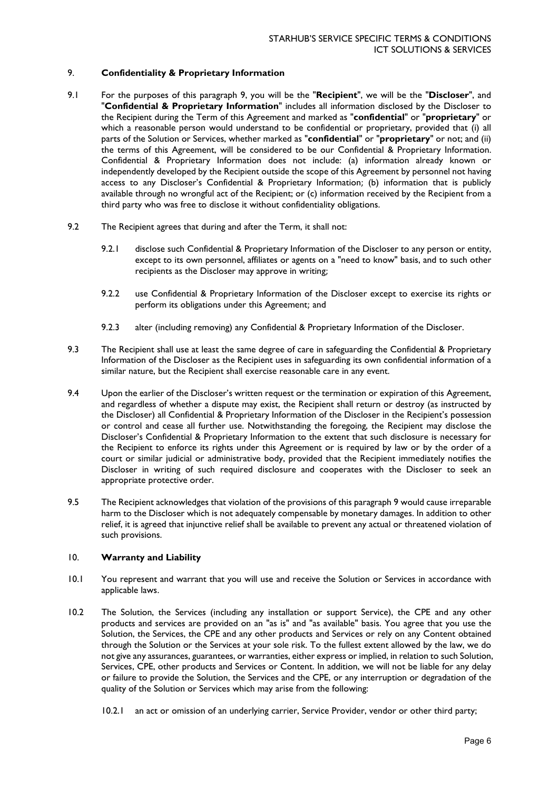# 9. **Confidentiality & Proprietary Information**

- 9.1 For the purposes of this paragraph 9, you will be the "**Recipient**", we will be the "**Discloser**", and "**Confidential & Proprietary Information**" includes all information disclosed by the Discloser to the Recipient during the Term of this Agreement and marked as "**confidential**" or "**proprietary**" or which a reasonable person would understand to be confidential or proprietary, provided that (i) all parts of the Solution or Services, whether marked as "**confidential**" or "**proprietary**" or not; and (ii) the terms of this Agreement, will be considered to be our Confidential & Proprietary Information. Confidential & Proprietary Information does not include: (a) information already known or independently developed by the Recipient outside the scope of this Agreement by personnel not having access to any Discloser's Confidential & Proprietary Information; (b) information that is publicly available through no wrongful act of the Recipient; or (c) information received by the Recipient from a third party who was free to disclose it without confidentiality obligations.
- 9.2 The Recipient agrees that during and after the Term, it shall not:
	- 9.2.1 disclose such Confidential & Proprietary Information of the Discloser to any person or entity, except to its own personnel, affiliates or agents on a "need to know" basis, and to such other recipients as the Discloser may approve in writing;
	- 9.2.2 use Confidential & Proprietary Information of the Discloser except to exercise its rights or perform its obligations under this Agreement; and
	- 9.2.3 alter (including removing) any Confidential & Proprietary Information of the Discloser.
- 9.3 The Recipient shall use at least the same degree of care in safeguarding the Confidential & Proprietary Information of the Discloser as the Recipient uses in safeguarding its own confidential information of a similar nature, but the Recipient shall exercise reasonable care in any event.
- 9.4 Upon the earlier of the Discloser's written request or the termination or expiration of this Agreement, and regardless of whether a dispute may exist, the Recipient shall return or destroy (as instructed by the Discloser) all Confidential & Proprietary Information of the Discloser in the Recipient's possession or control and cease all further use. Notwithstanding the foregoing, the Recipient may disclose the Discloser's Confidential & Proprietary Information to the extent that such disclosure is necessary for the Recipient to enforce its rights under this Agreement or is required by law or by the order of a court or similar judicial or administrative body, provided that the Recipient immediately notifies the Discloser in writing of such required disclosure and cooperates with the Discloser to seek an appropriate protective order.
- 9.5 The Recipient acknowledges that violation of the provisions of this paragraph 9 would cause irreparable harm to the Discloser which is not adequately compensable by monetary damages. In addition to other relief, it is agreed that injunctive relief shall be available to prevent any actual or threatened violation of such provisions.

# 10. **Warranty and Liability**

- 10.1 You represent and warrant that you will use and receive the Solution or Services in accordance with applicable laws.
- 10.2 The Solution, the Services (including any installation or support Service), the CPE and any other products and services are provided on an "as is" and "as available" basis. You agree that you use the Solution, the Services, the CPE and any other products and Services or rely on any Content obtained through the Solution or the Services at your sole risk. To the fullest extent allowed by the law, we do not give any assurances, guarantees, or warranties, either express or implied, in relation to such Solution, Services, CPE, other products and Services or Content. In addition, we will not be liable for any delay or failure to provide the Solution, the Services and the CPE, or any interruption or degradation of the quality of the Solution or Services which may arise from the following:
	- 10.2.1 an act or omission of an underlying carrier, Service Provider, vendor or other third party;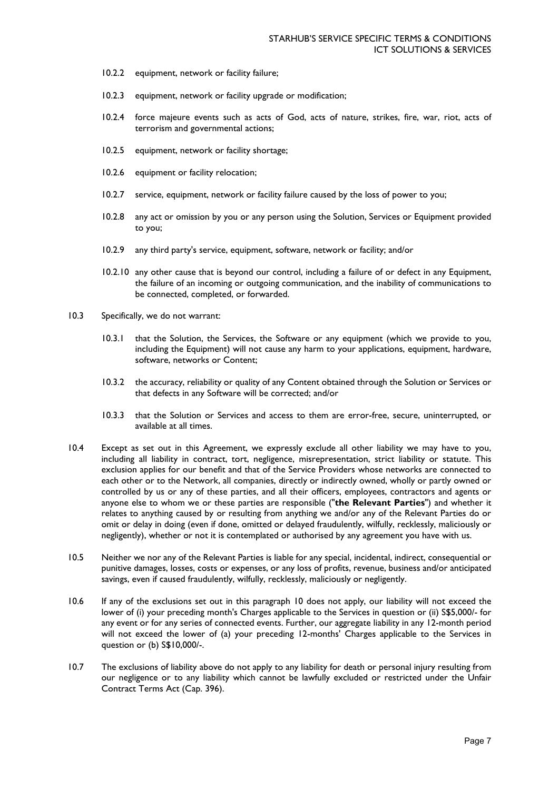- 10.2.2 equipment, network or facility failure;
- 10.2.3 equipment, network or facility upgrade or modification;
- 10.2.4 force majeure events such as acts of God, acts of nature, strikes, fire, war, riot, acts of terrorism and governmental actions;
- 10.2.5 equipment, network or facility shortage;
- 10.2.6 equipment or facility relocation;
- 10.2.7 service, equipment, network or facility failure caused by the loss of power to you;
- 10.2.8 any act or omission by you or any person using the Solution, Services or Equipment provided to you;
- 10.2.9 any third party's service, equipment, software, network or facility; and/or
- 10.2.10 any other cause that is beyond our control, including a failure of or defect in any Equipment, the failure of an incoming or outgoing communication, and the inability of communications to be connected, completed, or forwarded.
- 10.3 Specifically, we do not warrant:
	- 10.3.1 that the Solution, the Services, the Software or any equipment (which we provide to you, including the Equipment) will not cause any harm to your applications, equipment, hardware, software, networks or Content;
	- 10.3.2 the accuracy, reliability or quality of any Content obtained through the Solution or Services or that defects in any Software will be corrected; and/or
	- 10.3.3 that the Solution or Services and access to them are error-free, secure, uninterrupted, or available at all times.
- 10.4 Except as set out in this Agreement, we expressly exclude all other liability we may have to you, including all liability in contract, tort, negligence, misrepresentation, strict liability or statute. This exclusion applies for our benefit and that of the Service Providers whose networks are connected to each other or to the Network, all companies, directly or indirectly owned, wholly or partly owned or controlled by us or any of these parties, and all their officers, employees, contractors and agents or anyone else to whom we or these parties are responsible ("**the Relevant Parties**") and whether it relates to anything caused by or resulting from anything we and/or any of the Relevant Parties do or omit or delay in doing (even if done, omitted or delayed fraudulently, wilfully, recklessly, maliciously or negligently), whether or not it is contemplated or authorised by any agreement you have with us.
- 10.5 Neither we nor any of the Relevant Parties is liable for any special, incidental, indirect, consequential or punitive damages, losses, costs or expenses, or any loss of profits, revenue, business and/or anticipated savings, even if caused fraudulently, wilfully, recklessly, maliciously or negligently.
- 10.6 If any of the exclusions set out in this paragraph 10 does not apply, our liability will not exceed the lower of (i) your preceding month's Charges applicable to the Services in question or (ii) S\$5,000/- for any event or for any series of connected events. Further, our aggregate liability in any 12-month period will not exceed the lower of (a) your preceding 12-months' Charges applicable to the Services in question or (b) S\$10,000/-.
- 10.7 The exclusions of liability above do not apply to any liability for death or personal injury resulting from our negligence or to any liability which cannot be lawfully excluded or restricted under the Unfair Contract Terms Act (Cap. 396).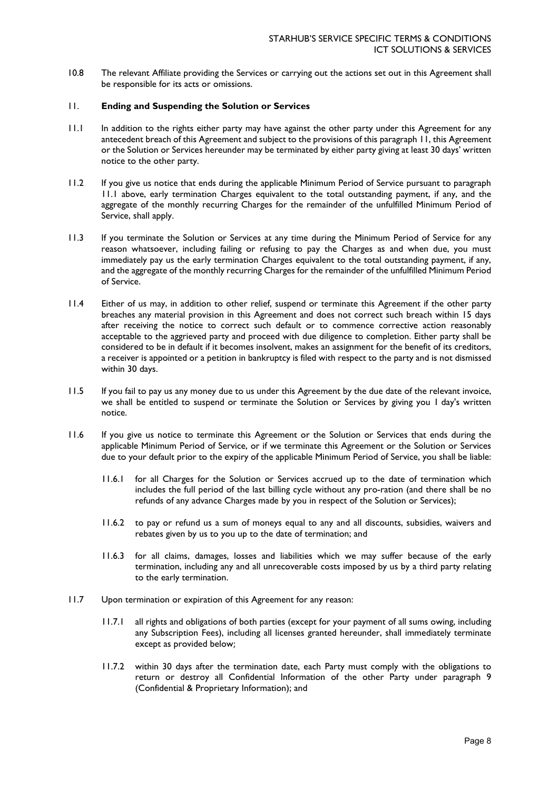10.8 The relevant Affiliate providing the Services or carrying out the actions set out in this Agreement shall be responsible for its acts or omissions.

#### 11. **Ending and Suspending the Solution or Services**

- 11.1 In addition to the rights either party may have against the other party under this Agreement for any antecedent breach of this Agreement and subject to the provisions of this paragraph 11, this Agreement or the Solution or Services hereunder may be terminated by either party giving at least 30 days' written notice to the other party.
- 11.2 If you give us notice that ends during the applicable Minimum Period of Service pursuant to paragraph 11.1 above, early termination Charges equivalent to the total outstanding payment, if any, and the aggregate of the monthly recurring Charges for the remainder of the unfulfilled Minimum Period of Service, shall apply.
- 11.3 If you terminate the Solution or Services at any time during the Minimum Period of Service for any reason whatsoever, including failing or refusing to pay the Charges as and when due, you must immediately pay us the early termination Charges equivalent to the total outstanding payment, if any, and the aggregate of the monthly recurring Charges for the remainder of the unfulfilled Minimum Period of Service.
- 11.4 Either of us may, in addition to other relief, suspend or terminate this Agreement if the other party breaches any material provision in this Agreement and does not correct such breach within 15 days after receiving the notice to correct such default or to commence corrective action reasonably acceptable to the aggrieved party and proceed with due diligence to completion. Either party shall be considered to be in default if it becomes insolvent, makes an assignment for the benefit of its creditors, a receiver is appointed or a petition in bankruptcy is filed with respect to the party and is not dismissed within 30 days.
- 11.5 If you fail to pay us any money due to us under this Agreement by the due date of the relevant invoice, we shall be entitled to suspend or terminate the Solution or Services by giving you 1 day's written notice.
- 11.6 If you give us notice to terminate this Agreement or the Solution or Services that ends during the applicable Minimum Period of Service, or if we terminate this Agreement or the Solution or Services due to your default prior to the expiry of the applicable Minimum Period of Service, you shall be liable:
	- 11.6.1 for all Charges for the Solution or Services accrued up to the date of termination which includes the full period of the last billing cycle without any pro-ration (and there shall be no refunds of any advance Charges made by you in respect of the Solution or Services);
	- 11.6.2 to pay or refund us a sum of moneys equal to any and all discounts, subsidies, waivers and rebates given by us to you up to the date of termination; and
	- 11.6.3 for all claims, damages, losses and liabilities which we may suffer because of the early termination, including any and all unrecoverable costs imposed by us by a third party relating to the early termination.
- 11.7 Upon termination or expiration of this Agreement for any reason:
	- 11.7.1 all rights and obligations of both parties (except for your payment of all sums owing, including any Subscription Fees), including all licenses granted hereunder, shall immediately terminate except as provided below;
	- 11.7.2 within 30 days after the termination date, each Party must comply with the obligations to return or destroy all Confidential Information of the other Party under paragraph 9 (Confidential & Proprietary Information); and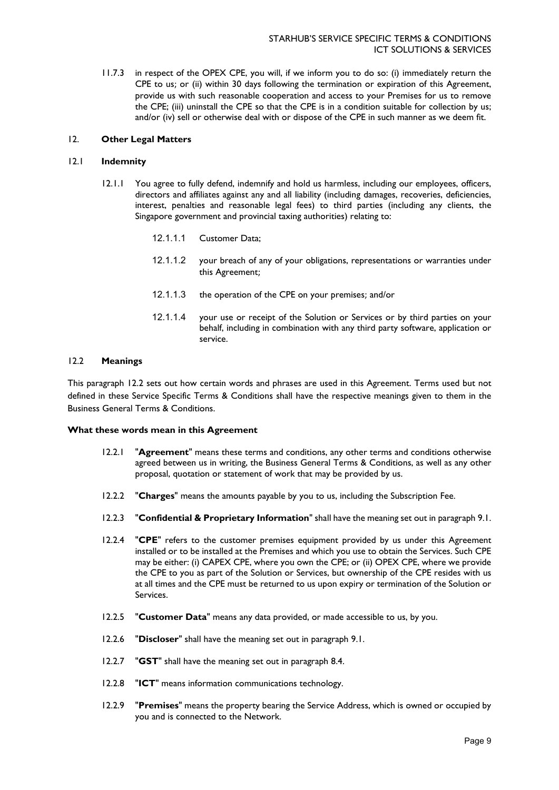11.7.3 in respect of the OPEX CPE, you will, if we inform you to do so: (i) immediately return the CPE to us; or (ii) within 30 days following the termination or expiration of this Agreement, provide us with such reasonable cooperation and access to your Premises for us to remove the CPE; (iii) uninstall the CPE so that the CPE is in a condition suitable for collection by us; and/or (iv) sell or otherwise deal with or dispose of the CPE in such manner as we deem fit.

### 12. **Other Legal Matters**

#### 12.1 **Indemnity**

- 12.1.1 You agree to fully defend, indemnify and hold us harmless, including our employees, officers, directors and affiliates against any and all liability (including damages, recoveries, deficiencies, interest, penalties and reasonable legal fees) to third parties (including any clients, the Singapore government and provincial taxing authorities) relating to:
	- 12.1.1.1 Customer Data;
	- 12.1.1.2 your breach of any of your obligations, representations or warranties under this Agreement;
	- 12.1.1.3 the operation of the CPE on your premises; and/or
	- 12.1.1.4 your use or receipt of the Solution or Services or by third parties on your behalf, including in combination with any third party software, application or service.

#### 12.2 **Meanings**

This paragraph 12.2 sets out how certain words and phrases are used in this Agreement. Terms used but not defined in these Service Specific Terms & Conditions shall have the respective meanings given to them in the Business General Terms & Conditions.

#### **What these words mean in this Agreement**

- 12.2.1 "**Agreement**" means these terms and conditions, any other terms and conditions otherwise agreed between us in writing, the Business General Terms & Conditions, as well as any other proposal, quotation or statement of work that may be provided by us.
- 12.2.2 "**Charges**" means the amounts payable by you to us, including the Subscription Fee.
- 12.2.3 "**Confidential & Proprietary Information**" shall have the meaning set out in paragraph 9.1.
- 12.2.4 "**CPE**" refers to the customer premises equipment provided by us under this Agreement installed or to be installed at the Premises and which you use to obtain the Services. Such CPE may be either: (i) CAPEX CPE, where you own the CPE; or (ii) OPEX CPE, where we provide the CPE to you as part of the Solution or Services, but ownership of the CPE resides with us at all times and the CPE must be returned to us upon expiry or termination of the Solution or Services.
- 12.2.5 "**Customer Data**" means any data provided, or made accessible to us, by you.
- 12.2.6 "**Discloser**" shall have the meaning set out in paragraph 9.1.
- 12.2.7 "**GST**" shall have the meaning set out in paragraph 8.4.
- 12.2.8 "**ICT**" means information communications technology.
- 12.2.9 "**Premises**" means the property bearing the Service Address, which is owned or occupied by you and is connected to the Network.